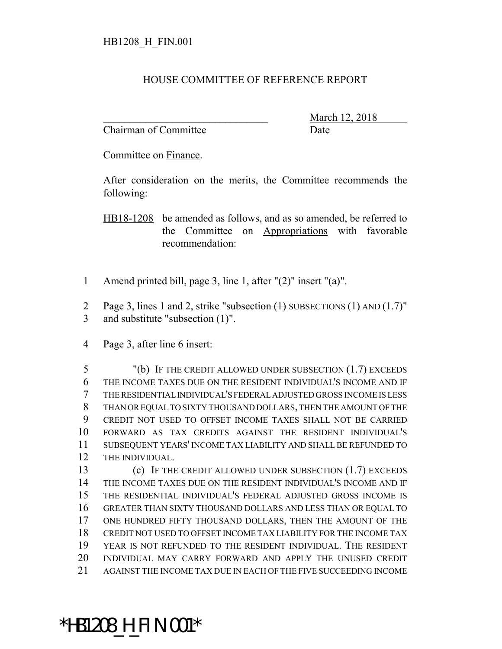## HOUSE COMMITTEE OF REFERENCE REPORT

Chairman of Committee **Date** 

March 12, 2018

Committee on Finance.

After consideration on the merits, the Committee recommends the following:

HB18-1208 be amended as follows, and as so amended, be referred to the Committee on Appropriations with favorable recommendation:

- Amend printed bill, page 3, line 1, after "(2)" insert "(a)".
- 2 Page 3, lines 1 and 2, strike "subsection  $(1)$  SUBSECTIONS  $(1)$  AND  $(1.7)$ " and substitute "subsection (1)".
- Page 3, after line 6 insert:

 "(b) IF THE CREDIT ALLOWED UNDER SUBSECTION (1.7) EXCEEDS THE INCOME TAXES DUE ON THE RESIDENT INDIVIDUAL'S INCOME AND IF THE RESIDENTIAL INDIVIDUAL'S FEDERAL ADJUSTED GROSS INCOME IS LESS THAN OR EQUAL TO SIXTY THOUSAND DOLLARS, THEN THE AMOUNT OF THE CREDIT NOT USED TO OFFSET INCOME TAXES SHALL NOT BE CARRIED FORWARD AS TAX CREDITS AGAINST THE RESIDENT INDIVIDUAL'S SUBSEQUENT YEARS' INCOME TAX LIABILITY AND SHALL BE REFUNDED TO THE INDIVIDUAL.

 (c) IF THE CREDIT ALLOWED UNDER SUBSECTION (1.7) EXCEEDS THE INCOME TAXES DUE ON THE RESIDENT INDIVIDUAL'S INCOME AND IF THE RESIDENTIAL INDIVIDUAL'S FEDERAL ADJUSTED GROSS INCOME IS GREATER THAN SIXTY THOUSAND DOLLARS AND LESS THAN OR EQUAL TO ONE HUNDRED FIFTY THOUSAND DOLLARS, THEN THE AMOUNT OF THE CREDIT NOT USED TO OFFSET INCOME TAX LIABILITY FOR THE INCOME TAX YEAR IS NOT REFUNDED TO THE RESIDENT INDIVIDUAL. THE RESIDENT INDIVIDUAL MAY CARRY FORWARD AND APPLY THE UNUSED CREDIT AGAINST THE INCOME TAX DUE IN EACH OF THE FIVE SUCCEEDING INCOME

## \*HB1208\_H\_FIN.001\*